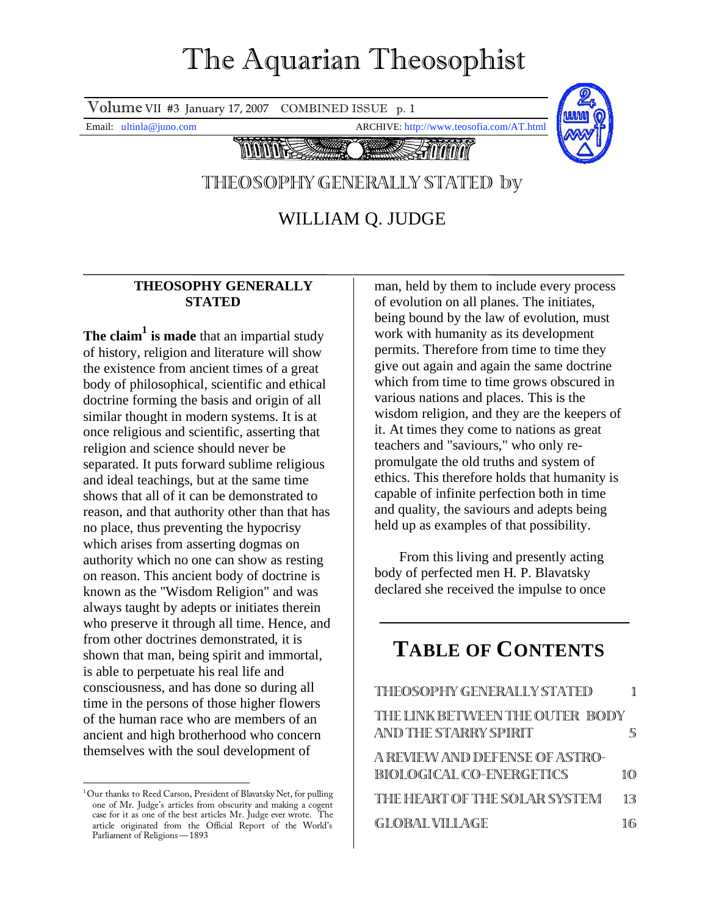# The Aquarian Theosophist

Volume VII #3 January 17, 2007 COMBINED ISSUE p. 1

Email: ultinla@juno.com ARCHIVE: http://www.teosofia.com/AT.html



## THEOSOPHY GENERALLY STATED by

WILLIAM Q. JUDGE

### **THEOSOPHY GENERALLY STATED**

**The claim1 is made** that an impartial study of history, religion and literature will show the existence from ancient times of a great body of philosophical, scientific and ethical doctrine forming the basis and origin of all similar thought in modern systems. It is at once religious and scientific, asserting that religion and science should never be separated. It puts forward sublime religious and ideal teachings, but at the same time shows that all of it can be demonstrated to reason, and that authority other than that has no place, thus preventing the hypocrisy which arises from asserting dogmas on authority which no one can show as resting on reason. This ancient body of doctrine is known as the "Wisdom Religion" and was always taught by adepts or initiates therein who preserve it through all time. Hence, and from other doctrines demonstrated, it is shown that man, being spirit and immortal, is able to perpetuate his real life and consciousness, and has done so during all time in the persons of those higher flowers of the human race who are members of an ancient and high brotherhood who concern themselves with the soul development of

man, held by them to include every process of evolution on all planes. The initiates, being bound by the law of evolution, must work with humanity as its development permits. Therefore from time to time they give out again and again the same doctrine which from time to time grows obscured in various nations and places. This is the wisdom religion, and they are the keepers of it. At times they come to nations as great teachers and "saviours," who only repromulgate the old truths and system of ethics. This therefore holds that humanity is capable of infinite perfection both in time and quality, the saviours and adepts being held up as examples of that possibility.

From this living and presently acting body of perfected men H. P. Blavatsky declared she received the impulse to once

# **TABLE OF CONTENTS**

| THEOSOPHY GENERALLY STATED                                 | 1   |
|------------------------------------------------------------|-----|
| THE LINK BETWEEN THE OUTER BODY<br>AND THE STARRY SPIRIT   | 5   |
| A REVIEW AND DEFENSE OF ASTRO-<br>BIOLOGICAL CO-ENERGETICS | 100 |
| THIE HIEART OF THE SOLAR SYSTEM                            | 13  |
| GLOBAL VILLAGE                                             | 16  |

 1 Our thanks to Reed Carson, President of Blavatsky Net, for pulling one of Mr. Judge's articles from obscurity and making a cogent case for it as one of the best articles Mr. Judge ever wrote. The article originated from the Official Report of the World's Parliament of Religions—1893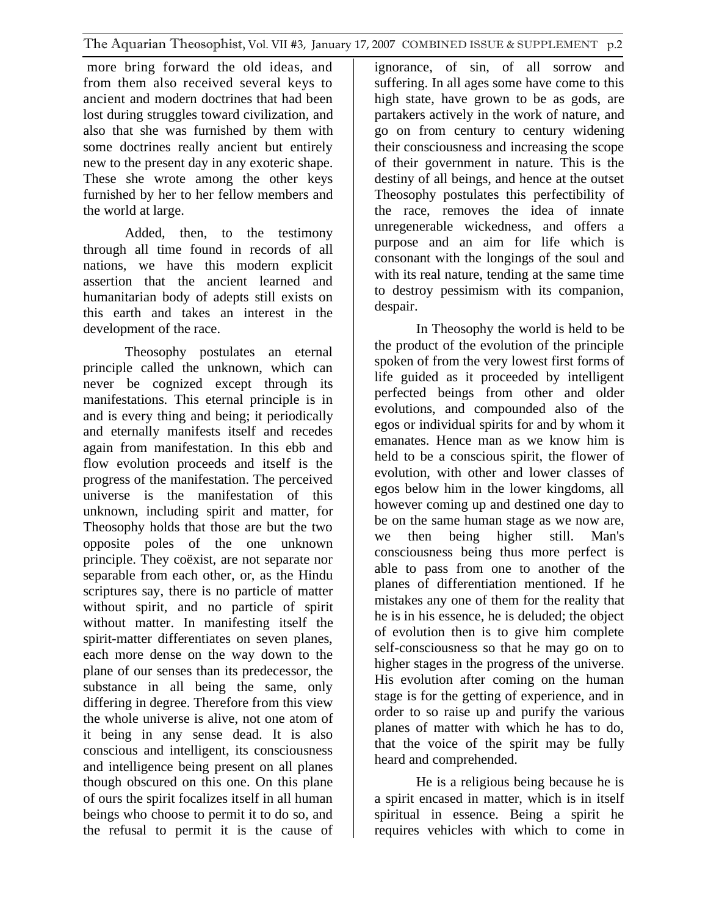more bring forward the old ideas, and from them also received several keys to ancient and modern doctrines that had been lost during struggles toward civilization, and also that she was furnished by them with some doctrines really ancient but entirely new to the present day in any exoteric shape. These she wrote among the other keys furnished by her to her fellow members and the world at large.

Added, then, to the testimony through all time found in records of all nations, we have this modern explicit assertion that the ancient learned and humanitarian body of adepts still exists on this earth and takes an interest in the development of the race.

Theosophy postulates an eternal principle called the unknown, which can never be cognized except through its manifestations. This eternal principle is in and is every thing and being; it periodically and eternally manifests itself and recedes again from manifestation. In this ebb and flow evolution proceeds and itself is the progress of the manifestation. The perceived universe is the manifestation of this unknown, including spirit and matter, for Theosophy holds that those are but the two opposite poles of the one unknown principle. They coëxist, are not separate nor separable from each other, or, as the Hindu scriptures say, there is no particle of matter without spirit, and no particle of spirit without matter. In manifesting itself the spirit-matter differentiates on seven planes, each more dense on the way down to the plane of our senses than its predecessor, the substance in all being the same, only differing in degree. Therefore from this view the whole universe is alive, not one atom of it being in any sense dead. It is also conscious and intelligent, its consciousness and intelligence being present on all planes though obscured on this one. On this plane of ours the spirit focalizes itself in all human beings who choose to permit it to do so, and the refusal to permit it is the cause of ignorance, of sin, of all sorrow and suffering. In all ages some have come to this high state, have grown to be as gods, are partakers actively in the work of nature, and go on from century to century widening their consciousness and increasing the scope of their government in nature. This is the destiny of all beings, and hence at the outset Theosophy postulates this perfectibility of the race, removes the idea of innate unregenerable wickedness, and offers a purpose and an aim for life which is consonant with the longings of the soul and with its real nature, tending at the same time to destroy pessimism with its companion, despair.

In Theosophy the world is held to be the product of the evolution of the principle spoken of from the very lowest first forms of life guided as it proceeded by intelligent perfected beings from other and older evolutions, and compounded also of the egos or individual spirits for and by whom it emanates. Hence man as we know him is held to be a conscious spirit, the flower of evolution, with other and lower classes of egos below him in the lower kingdoms, all however coming up and destined one day to be on the same human stage as we now are, we then being higher still. Man's consciousness being thus more perfect is able to pass from one to another of the planes of differentiation mentioned. If he mistakes any one of them for the reality that he is in his essence, he is deluded; the object of evolution then is to give him complete self-consciousness so that he may go on to higher stages in the progress of the universe. His evolution after coming on the human stage is for the getting of experience, and in order to so raise up and purify the various planes of matter with which he has to do, that the voice of the spirit may be fully heard and comprehended.

He is a religious being because he is a spirit encased in matter, which is in itself spiritual in essence. Being a spirit he requires vehicles with which to come in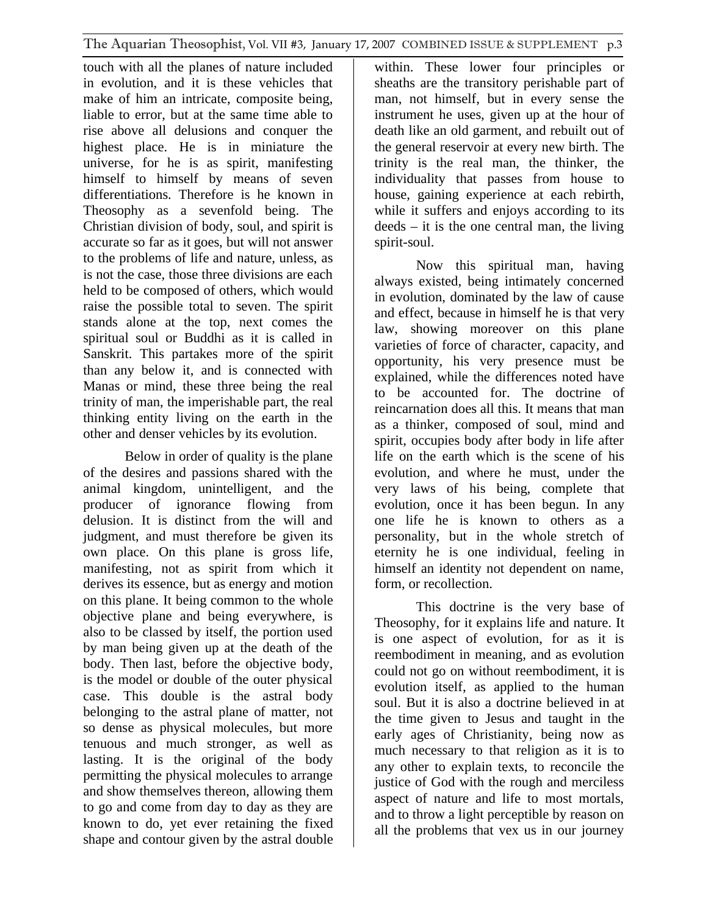touch with all the planes of nature included in evolution, and it is these vehicles that make of him an intricate, composite being, liable to error, but at the same time able to rise above all delusions and conquer the highest place. He is in miniature the universe, for he is as spirit, manifesting himself to himself by means of seven differentiations. Therefore is he known in Theosophy as a sevenfold being. The Christian division of body, soul, and spirit is accurate so far as it goes, but will not answer to the problems of life and nature, unless, as is not the case, those three divisions are each held to be composed of others, which would raise the possible total to seven. The spirit stands alone at the top, next comes the spiritual soul or Buddhi as it is called in Sanskrit. This partakes more of the spirit than any below it, and is connected with Manas or mind, these three being the real trinity of man, the imperishable part, the real thinking entity living on the earth in the other and denser vehicles by its evolution.

Below in order of quality is the plane of the desires and passions shared with the animal kingdom, unintelligent, and the producer of ignorance flowing from delusion. It is distinct from the will and judgment, and must therefore be given its own place. On this plane is gross life, manifesting, not as spirit from which it derives its essence, but as energy and motion on this plane. It being common to the whole objective plane and being everywhere, is also to be classed by itself, the portion used by man being given up at the death of the body. Then last, before the objective body, is the model or double of the outer physical case. This double is the astral body belonging to the astral plane of matter, not so dense as physical molecules, but more tenuous and much stronger, as well as lasting. It is the original of the body permitting the physical molecules to arrange and show themselves thereon, allowing them to go and come from day to day as they are known to do, yet ever retaining the fixed shape and contour given by the astral double

within. These lower four principles or sheaths are the transitory perishable part of man, not himself, but in every sense the instrument he uses, given up at the hour of death like an old garment, and rebuilt out of the general reservoir at every new birth. The trinity is the real man, the thinker, the individuality that passes from house to house, gaining experience at each rebirth, while it suffers and enjoys according to its deeds – it is the one central man, the living spirit-soul.

Now this spiritual man, having always existed, being intimately concerned in evolution, dominated by the law of cause and effect, because in himself he is that very law, showing moreover on this plane varieties of force of character, capacity, and opportunity, his very presence must be explained, while the differences noted have to be accounted for. The doctrine of reincarnation does all this. It means that man as a thinker, composed of soul, mind and spirit, occupies body after body in life after life on the earth which is the scene of his evolution, and where he must, under the very laws of his being, complete that evolution, once it has been begun. In any one life he is known to others as a personality, but in the whole stretch of eternity he is one individual, feeling in himself an identity not dependent on name, form, or recollection.

This doctrine is the very base of Theosophy, for it explains life and nature. It is one aspect of evolution, for as it is reembodiment in meaning, and as evolution could not go on without reembodiment, it is evolution itself, as applied to the human soul. But it is also a doctrine believed in at the time given to Jesus and taught in the early ages of Christianity, being now as much necessary to that religion as it is to any other to explain texts, to reconcile the justice of God with the rough and merciless aspect of nature and life to most mortals, and to throw a light perceptible by reason on all the problems that vex us in our journey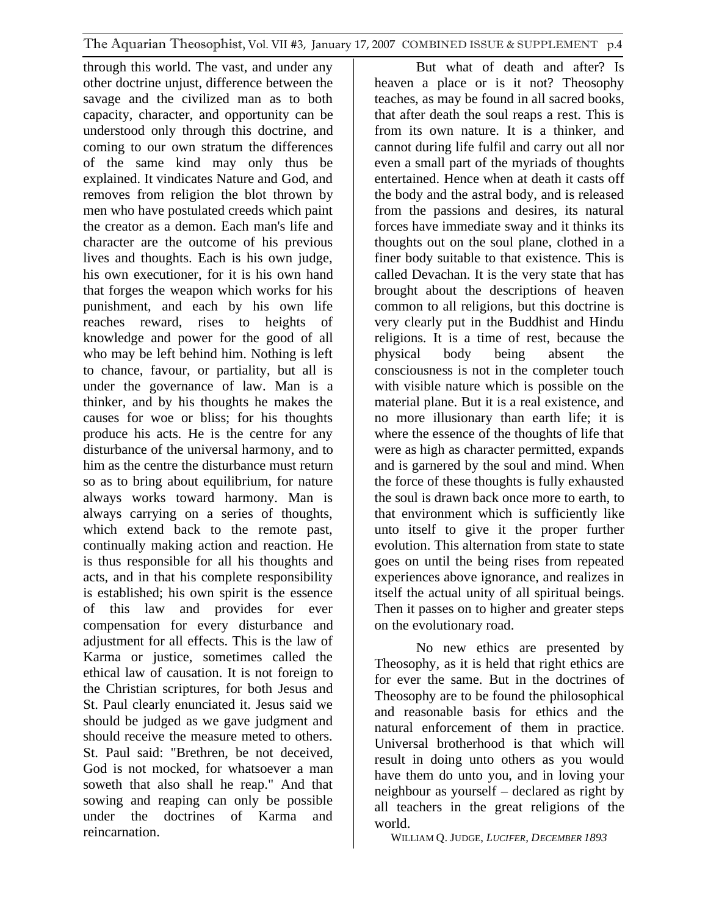through this world. The vast, and under any other doctrine unjust, difference between the savage and the civilized man as to both capacity, character, and opportunity can be understood only through this doctrine, and coming to our own stratum the differences of the same kind may only thus be explained. It vindicates Nature and God, and removes from religion the blot thrown by men who have postulated creeds which paint the creator as a demon. Each man's life and character are the outcome of his previous lives and thoughts. Each is his own judge, his own executioner, for it is his own hand that forges the weapon which works for his punishment, and each by his own life reaches reward, rises to heights of knowledge and power for the good of all who may be left behind him. Nothing is left to chance, favour, or partiality, but all is under the governance of law. Man is a thinker, and by his thoughts he makes the causes for woe or bliss; for his thoughts produce his acts. He is the centre for any disturbance of the universal harmony, and to him as the centre the disturbance must return so as to bring about equilibrium, for nature always works toward harmony. Man is always carrying on a series of thoughts, which extend back to the remote past, continually making action and reaction. He is thus responsible for all his thoughts and acts, and in that his complete responsibility is established; his own spirit is the essence of this law and provides for ever compensation for every disturbance and adjustment for all effects. This is the law of Karma or justice, sometimes called the ethical law of causation. It is not foreign to the Christian scriptures, for both Jesus and St. Paul clearly enunciated it. Jesus said we should be judged as we gave judgment and should receive the measure meted to others. St. Paul said: "Brethren, be not deceived, God is not mocked, for whatsoever a man soweth that also shall he reap." And that sowing and reaping can only be possible under the doctrines of Karma and reincarnation.

But what of death and after? Is heaven a place or is it not? Theosophy teaches, as may be found in all sacred books, that after death the soul reaps a rest. This is from its own nature. It is a thinker, and cannot during life fulfil and carry out all nor even a small part of the myriads of thoughts entertained. Hence when at death it casts off the body and the astral body, and is released from the passions and desires, its natural forces have immediate sway and it thinks its thoughts out on the soul plane, clothed in a finer body suitable to that existence. This is called Devachan. It is the very state that has brought about the descriptions of heaven common to all religions, but this doctrine is very clearly put in the Buddhist and Hindu religions. It is a time of rest, because the physical body being absent the consciousness is not in the completer touch with visible nature which is possible on the material plane. But it is a real existence, and no more illusionary than earth life; it is where the essence of the thoughts of life that were as high as character permitted, expands and is garnered by the soul and mind. When the force of these thoughts is fully exhausted the soul is drawn back once more to earth, to that environment which is sufficiently like unto itself to give it the proper further evolution. This alternation from state to state goes on until the being rises from repeated experiences above ignorance, and realizes in itself the actual unity of all spiritual beings. Then it passes on to higher and greater steps on the evolutionary road.

No new ethics are presented by Theosophy, as it is held that right ethics are for ever the same. But in the doctrines of Theosophy are to be found the philosophical and reasonable basis for ethics and the natural enforcement of them in practice. Universal brotherhood is that which will result in doing unto others as you would have them do unto you, and in loving your neighbour as yourself – declared as right by all teachers in the great religions of the world.

WILLIAM Q. JUDGE, *LUCIFER, DECEMBER 1893*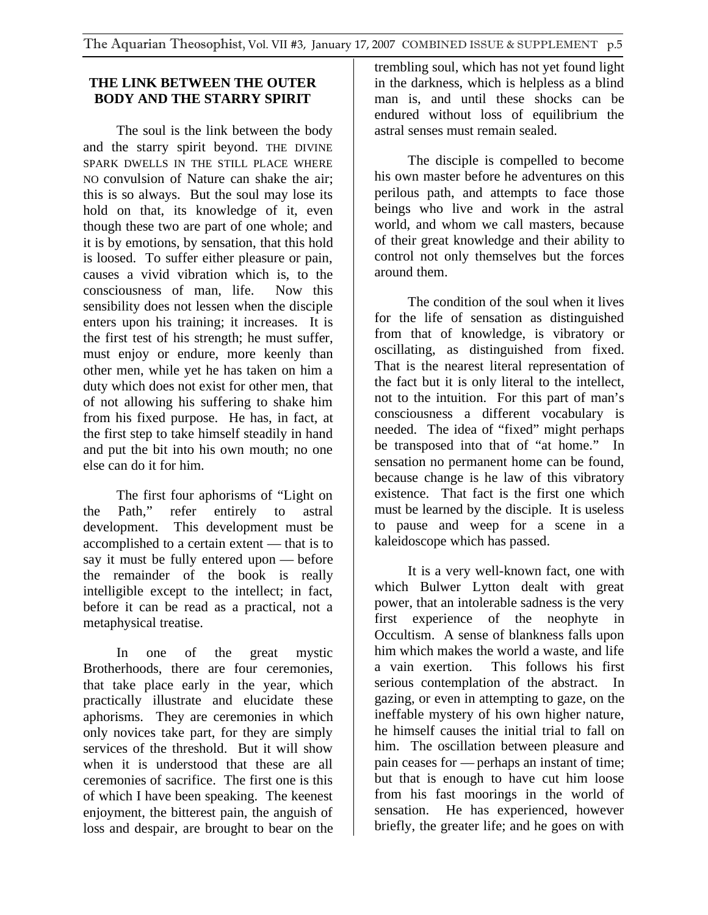### **THE LINK BETWEEN THE OUTER BODY AND THE STARRY SPIRIT**

The soul is the link between the body and the starry spirit beyond. THE DIVINE SPARK DWELLS IN THE STILL PLACE WHERE NO convulsion of Nature can shake the air; this is so always. But the soul may lose its hold on that, its knowledge of it, even though these two are part of one whole; and it is by emotions, by sensation, that this hold is loosed. To suffer either pleasure or pain, causes a vivid vibration which is, to the consciousness of man, life. Now this sensibility does not lessen when the disciple enters upon his training; it increases. It is the first test of his strength; he must suffer, must enjoy or endure, more keenly than other men, while yet he has taken on him a duty which does not exist for other men, that of not allowing his suffering to shake him from his fixed purpose. He has, in fact, at the first step to take himself steadily in hand and put the bit into his own mouth; no one else can do it for him.

The first four aphorisms of "Light on the Path," refer entirely to astral development. This development must be accomplished to a certain extent — that is to say it must be fully entered upon — before the remainder of the book is really intelligible except to the intellect; in fact, before it can be read as a practical, not a metaphysical treatise.

In one of the great mystic Brotherhoods, there are four ceremonies, that take place early in the year, which practically illustrate and elucidate these aphorisms. They are ceremonies in which only novices take part, for they are simply services of the threshold. But it will show when it is understood that these are all ceremonies of sacrifice. The first one is this of which I have been speaking. The keenest enjoyment, the bitterest pain, the anguish of loss and despair, are brought to bear on the

trembling soul, which has not yet found light in the darkness, which is helpless as a blind man is, and until these shocks can be endured without loss of equilibrium the astral senses must remain sealed.

The disciple is compelled to become his own master before he adventures on this perilous path, and attempts to face those beings who live and work in the astral world, and whom we call masters, because of their great knowledge and their ability to control not only themselves but the forces around them.

The condition of the soul when it lives for the life of sensation as distinguished from that of knowledge, is vibratory or oscillating, as distinguished from fixed. That is the nearest literal representation of the fact but it is only literal to the intellect, not to the intuition. For this part of man's consciousness a different vocabulary is needed. The idea of "fixed" might perhaps be transposed into that of "at home." In sensation no permanent home can be found, because change is he law of this vibratory existence. That fact is the first one which must be learned by the disciple. It is useless to pause and weep for a scene in a kaleidoscope which has passed.

It is a very well-known fact, one with which Bulwer Lytton dealt with great power, that an intolerable sadness is the very first experience of the neophyte in Occultism. A sense of blankness falls upon him which makes the world a waste, and life a vain exertion. This follows his first serious contemplation of the abstract. In gazing, or even in attempting to gaze, on the ineffable mystery of his own higher nature, he himself causes the initial trial to fall on him. The oscillation between pleasure and pain ceases for — perhaps an instant of time; but that is enough to have cut him loose from his fast moorings in the world of sensation. He has experienced, however briefly, the greater life; and he goes on with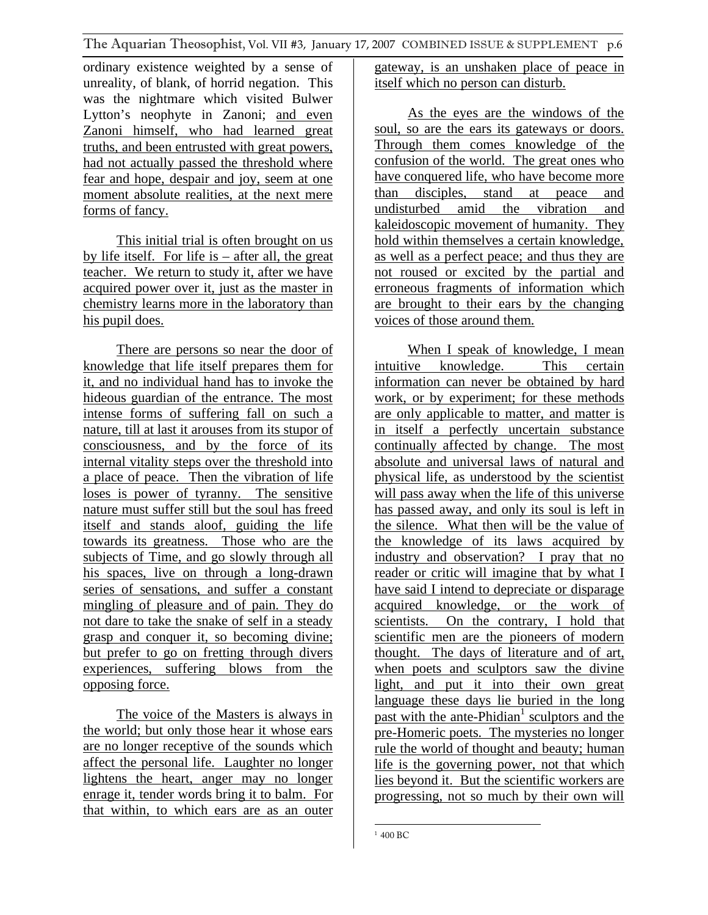ordinary existence weighted by a sense of unreality, of blank, of horrid negation. This was the nightmare which visited Bulwer Lytton's neophyte in Zanoni; and even Zanoni himself, who had learned great truths, and been entrusted with great powers, had not actually passed the threshold where fear and hope, despair and joy, seem at one moment absolute realities, at the next mere forms of fancy.

This initial trial is often brought on us by life itself. For life is  $-$  after all, the great teacher. We return to study it, after we have acquired power over it, just as the master in chemistry learns more in the laboratory than his pupil does.

There are persons so near the door of knowledge that life itself prepares them for it, and no individual hand has to invoke the hideous guardian of the entrance. The most intense forms of suffering fall on such a nature, till at last it arouses from its stupor of consciousness, and by the force of its internal vitality steps over the threshold into a place of peace. Then the vibration of life loses is power of tyranny. The sensitive nature must suffer still but the soul has freed itself and stands aloof, guiding the life towards its greatness. Those who are the subjects of Time, and go slowly through all his spaces, live on through a long-drawn series of sensations, and suffer a constant mingling of pleasure and of pain. They do not dare to take the snake of self in a steady grasp and conquer it, so becoming divine; but prefer to go on fretting through divers experiences, suffering blows from the opposing force.

The voice of the Masters is always in the world; but only those hear it whose ears are no longer receptive of the sounds which affect the personal life. Laughter no longer lightens the heart, anger may no longer enrage it, tender words bring it to balm. For that within, to which ears are as an outer gateway, is an unshaken place of peace in itself which no person can disturb.

As the eyes are the windows of the soul, so are the ears its gateways or doors. Through them comes knowledge of the confusion of the world. The great ones who have conquered life, who have become more than disciples, stand at peace and undisturbed amid the vibration and kaleidoscopic movement of humanity. They hold within themselves a certain knowledge, as well as a perfect peace; and thus they are not roused or excited by the partial and erroneous fragments of information which are brought to their ears by the changing voices of those around them.

When I speak of knowledge, I mean intuitive knowledge. This certain information can never be obtained by hard work, or by experiment; for these methods are only applicable to matter, and matter is in itself a perfectly uncertain substance continually affected by change. The most absolute and universal laws of natural and physical life, as understood by the scientist will pass away when the life of this universe has passed away, and only its soul is left in the silence. What then will be the value of the knowledge of its laws acquired by industry and observation? I pray that no reader or critic will imagine that by what I have said I intend to depreciate or disparage acquired knowledge, or the work of scientists. On the contrary, I hold that scientific men are the pioneers of modern thought. The days of literature and of art, when poets and sculptors saw the divine light, and put it into their own great language these days lie buried in the long past with the ante-Phidian<sup>1</sup> sculptors and the pre-Homeric poets. The mysteries no longer rule the world of thought and beauty; human life is the governing power, not that which lies beyond it. But the scientific workers are progressing, not so much by their own will

 $1400 \text{ BC}$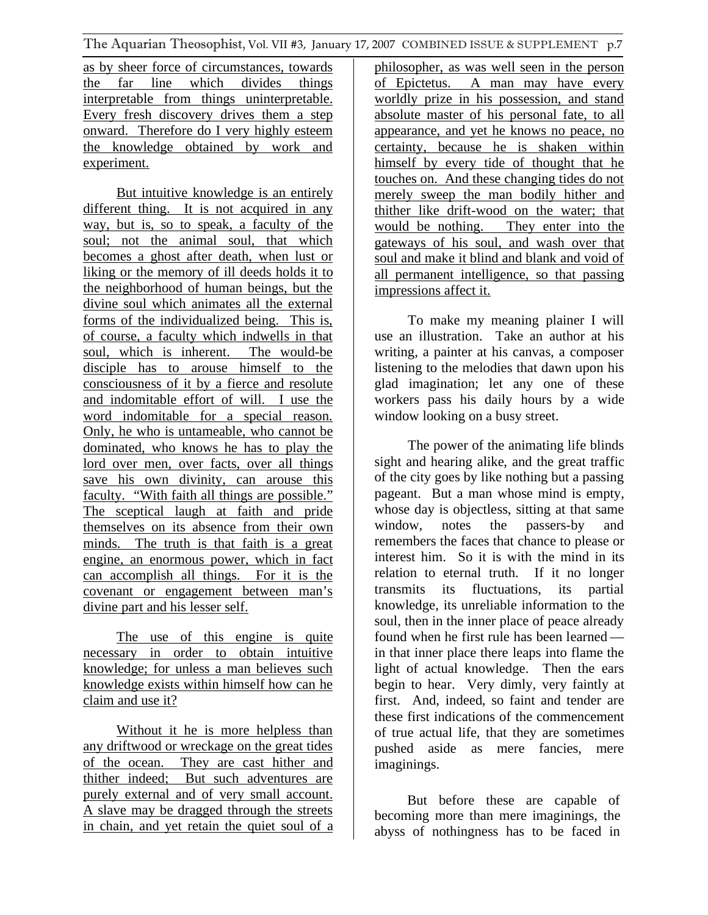as by sheer force of circumstances, towards the far line which divides things interpretable from things uninterpretable. Every fresh discovery drives them a step onward. Therefore do I very highly esteem the knowledge obtained by work and experiment.

But intuitive knowledge is an entirely different thing. It is not acquired in any way, but is, so to speak, a faculty of the soul; not the animal soul, that which becomes a ghost after death, when lust or liking or the memory of ill deeds holds it to the neighborhood of human beings, but the divine soul which animates all the external forms of the individualized being. This is, of course, a faculty which indwells in that soul, which is inherent. The would-be disciple has to arouse himself to the consciousness of it by a fierce and resolute and indomitable effort of will. I use the word indomitable for a special reason. Only, he who is untameable, who cannot be dominated, who knows he has to play the lord over men, over facts, over all things save his own divinity, can arouse this faculty. "With faith all things are possible." The sceptical laugh at faith and pride themselves on its absence from their own minds. The truth is that faith is a great engine, an enormous power, which in fact can accomplish all things. For it is the covenant or engagement between man's divine part and his lesser self.

The use of this engine is quite necessary in order to obtain intuitive knowledge; for unless a man believes such knowledge exists within himself how can he claim and use it?

Without it he is more helpless than any driftwood or wreckage on the great tides of the ocean. They are cast hither and thither indeed; But such adventures are purely external and of very small account. A slave may be dragged through the streets in chain, and yet retain the quiet soul of a

philosopher, as was well seen in the person of Epictetus. A man may have every worldly prize in his possession, and stand absolute master of his personal fate, to all appearance, and yet he knows no peace, no certainty, because he is shaken within himself by every tide of thought that he touches on. And these changing tides do not merely sweep the man bodily hither and thither like drift-wood on the water; that would be nothing. They enter into the gateways of his soul, and wash over that soul and make it blind and blank and void of all permanent intelligence, so that passing impressions affect it.

To make my meaning plainer I will use an illustration. Take an author at his writing, a painter at his canvas, a composer listening to the melodies that dawn upon his glad imagination; let any one of these workers pass his daily hours by a wide window looking on a busy street.

The power of the animating life blinds sight and hearing alike, and the great traffic of the city goes by like nothing but a passing pageant. But a man whose mind is empty, whose day is objectless, sitting at that same window, notes the passers-by and remembers the faces that chance to please or interest him. So it is with the mind in its relation to eternal truth. If it no longer transmits its fluctuations, its partial knowledge, its unreliable information to the soul, then in the inner place of peace already found when he first rule has been learned in that inner place there leaps into flame the light of actual knowledge. Then the ears begin to hear. Very dimly, very faintly at first. And, indeed, so faint and tender are these first indications of the commencement of true actual life, that they are sometimes pushed aside as mere fancies, mere imaginings.

But before these are capable of becoming more than mere imaginings, the abyss of nothingness has to be faced in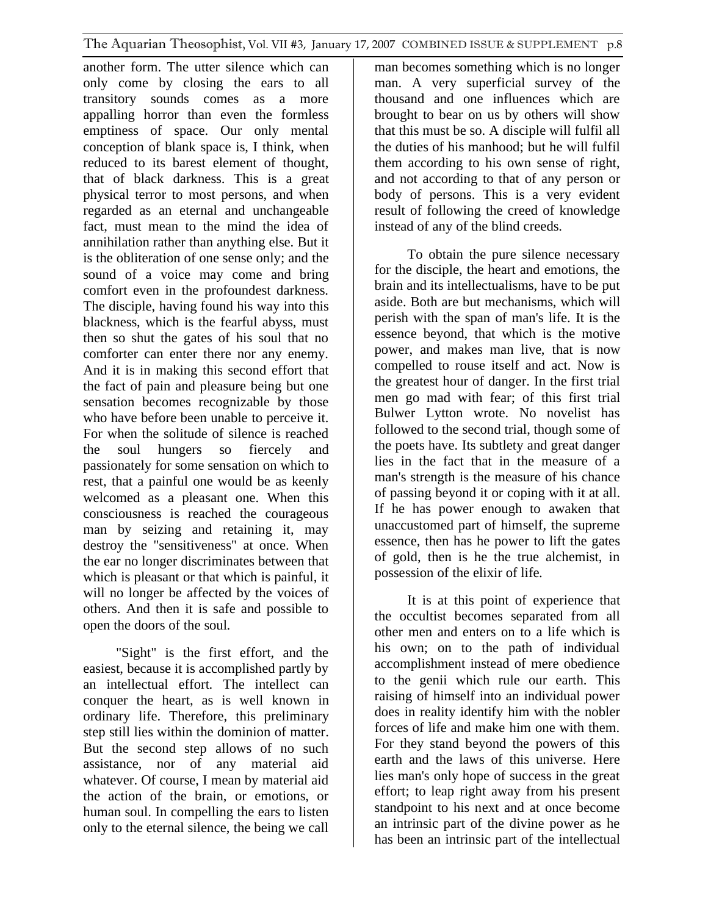another form. The utter silence which can only come by closing the ears to all transitory sounds comes as a more appalling horror than even the formless emptiness of space. Our only mental conception of blank space is, I think, when reduced to its barest element of thought, that of black darkness. This is a great physical terror to most persons, and when regarded as an eternal and unchangeable fact, must mean to the mind the idea of annihilation rather than anything else. But it is the obliteration of one sense only; and the sound of a voice may come and bring comfort even in the profoundest darkness. The disciple, having found his way into this blackness, which is the fearful abyss, must then so shut the gates of his soul that no comforter can enter there nor any enemy. And it is in making this second effort that the fact of pain and pleasure being but one sensation becomes recognizable by those who have before been unable to perceive it. For when the solitude of silence is reached the soul hungers so fiercely and passionately for some sensation on which to rest, that a painful one would be as keenly welcomed as a pleasant one. When this consciousness is reached the courageous man by seizing and retaining it, may destroy the "sensitiveness" at once. When the ear no longer discriminates between that which is pleasant or that which is painful, it will no longer be affected by the voices of others. And then it is safe and possible to open the doors of the soul.

"Sight" is the first effort, and the easiest, because it is accomplished partly by an intellectual effort. The intellect can conquer the heart, as is well known in ordinary life. Therefore, this preliminary step still lies within the dominion of matter. But the second step allows of no such assistance, nor of any material aid whatever. Of course, I mean by material aid the action of the brain, or emotions, or human soul. In compelling the ears to listen only to the eternal silence, the being we call

man becomes something which is no longer man. A very superficial survey of the thousand and one influences which are brought to bear on us by others will show that this must be so. A disciple will fulfil all the duties of his manhood; but he will fulfil them according to his own sense of right, and not according to that of any person or body of persons. This is a very evident result of following the creed of knowledge instead of any of the blind creeds.

To obtain the pure silence necessary for the disciple, the heart and emotions, the brain and its intellectualisms, have to be put aside. Both are but mechanisms, which will perish with the span of man's life. It is the essence beyond, that which is the motive power, and makes man live, that is now compelled to rouse itself and act. Now is the greatest hour of danger. In the first trial men go mad with fear; of this first trial Bulwer Lytton wrote. No novelist has followed to the second trial, though some of the poets have. Its subtlety and great danger lies in the fact that in the measure of a man's strength is the measure of his chance of passing beyond it or coping with it at all. If he has power enough to awaken that unaccustomed part of himself, the supreme essence, then has he power to lift the gates of gold, then is he the true alchemist, in possession of the elixir of life.

It is at this point of experience that the occultist becomes separated from all other men and enters on to a life which is his own; on to the path of individual accomplishment instead of mere obedience to the genii which rule our earth. This raising of himself into an individual power does in reality identify him with the nobler forces of life and make him one with them. For they stand beyond the powers of this earth and the laws of this universe. Here lies man's only hope of success in the great effort; to leap right away from his present standpoint to his next and at once become an intrinsic part of the divine power as he has been an intrinsic part of the intellectual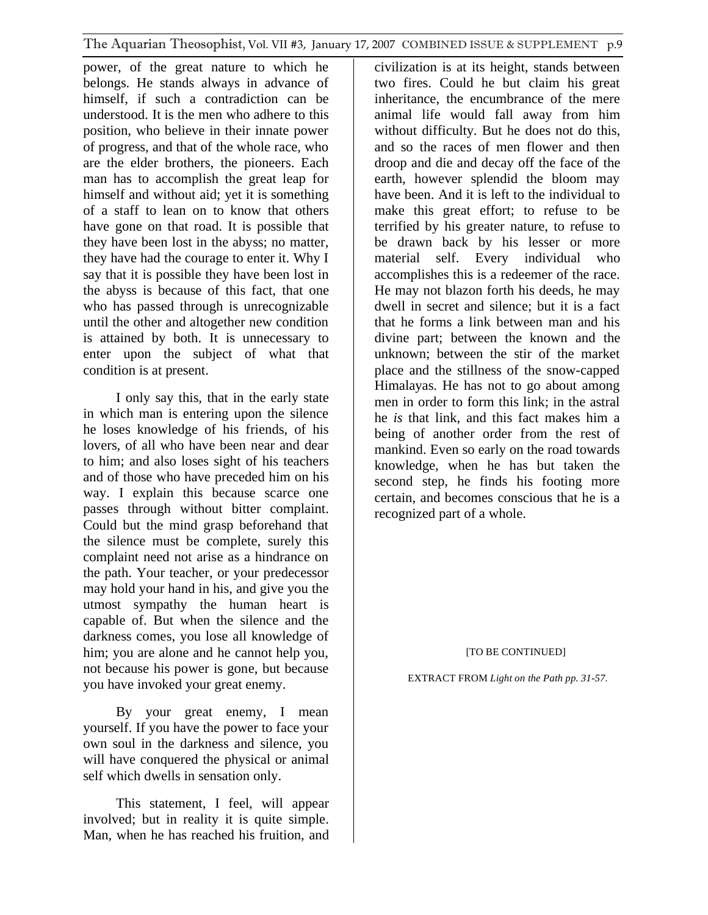power, of the great nature to which he belongs. He stands always in advance of himself, if such a contradiction can be understood. It is the men who adhere to this position, who believe in their innate power of progress, and that of the whole race, who are the elder brothers, the pioneers. Each man has to accomplish the great leap for himself and without aid; yet it is something of a staff to lean on to know that others have gone on that road. It is possible that they have been lost in the abyss; no matter, they have had the courage to enter it. Why I say that it is possible they have been lost in the abyss is because of this fact, that one who has passed through is unrecognizable until the other and altogether new condition is attained by both. It is unnecessary to enter upon the subject of what that condition is at present.

I only say this, that in the early state in which man is entering upon the silence he loses knowledge of his friends, of his lovers, of all who have been near and dear to him; and also loses sight of his teachers and of those who have preceded him on his way. I explain this because scarce one passes through without bitter complaint. Could but the mind grasp beforehand that the silence must be complete, surely this complaint need not arise as a hindrance on the path. Your teacher, or your predecessor may hold your hand in his, and give you the utmost sympathy the human heart is capable of. But when the silence and the darkness comes, you lose all knowledge of him; you are alone and he cannot help you, not because his power is gone, but because you have invoked your great enemy.

By your great enemy, I mean yourself. If you have the power to face your own soul in the darkness and silence, you will have conquered the physical or animal self which dwells in sensation only.

This statement, I feel, will appear involved; but in reality it is quite simple. Man, when he has reached his fruition, and civilization is at its height, stands between two fires. Could he but claim his great inheritance, the encumbrance of the mere animal life would fall away from him without difficulty. But he does not do this, and so the races of men flower and then droop and die and decay off the face of the earth, however splendid the bloom may have been. And it is left to the individual to make this great effort; to refuse to be terrified by his greater nature, to refuse to be drawn back by his lesser or more material self. Every individual who accomplishes this is a redeemer of the race. He may not blazon forth his deeds, he may dwell in secret and silence; but it is a fact that he forms a link between man and his divine part; between the known and the unknown; between the stir of the market place and the stillness of the snow-capped Himalayas. He has not to go about among men in order to form this link; in the astral he *is* that link, and this fact makes him a being of another order from the rest of mankind. Even so early on the road towards knowledge, when he has but taken the second step, he finds his footing more certain, and becomes conscious that he is a recognized part of a whole.

### [TO BE CONTINUED]

EXTRACT FROM *Light on the Path pp. 31-57.*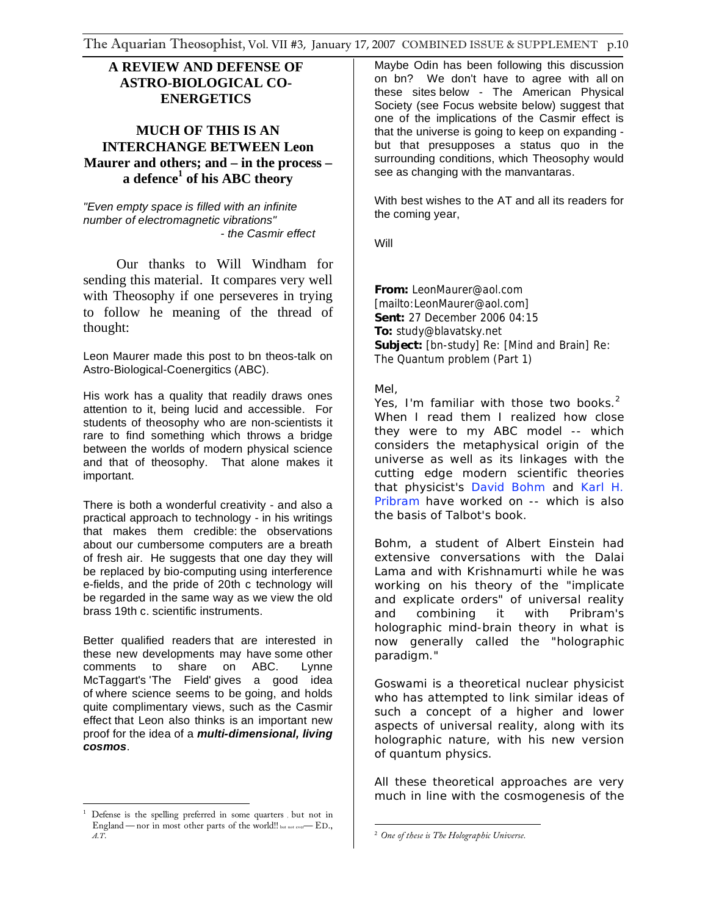### **A REVIEW AND DEFENSE OF ASTRO-BIOLOGICAL CO-ENERGETICS**

### **MUCH OF THIS IS AN INTERCHANGE BETWEEN Leon Maurer and others; and – in the process – a defence1 of his ABC theory**

*"Even empty space is filled with an infinite number of electromagnetic vibrations" - the Casmir effect* 

Our thanks to Will Windham for sending this material. It compares very well with Theosophy if one perseveres in trying to follow he meaning of the thread of thought:

Leon Maurer made this post to bn theos-talk on Astro-Biological-Coenergitics (ABC).

His work has a quality that readily draws ones attention to it, being lucid and accessible. For students of theosophy who are non-scientists it rare to find something which throws a bridge between the worlds of modern physical science and that of theosophy. That alone makes it important.

There is both a wonderful creativity - and also a practical approach to technology - in his writings that makes them credible: the observations about our cumbersome computers are a breath of fresh air. He suggests that one day they will be replaced by bio-computing using interference e-fields, and the pride of 20th c technology will be regarded in the same way as we view the old brass 19th c. scientific instruments.

Better qualified readers that are interested in these new developments may have some other comments to share on ABC. Lynne McTaggart's 'The Field' gives a good idea of where science seems to be going, and holds quite complimentary views, such as the Casmir effect that Leon also thinks is an important new proof for the idea of a *multi-dimensional, living cosmos*.

Maybe Odin has been following this discussion on bn? We don't have to agree with all on these sites below - The American Physical Society (see Focus website below) suggest that one of the implications of the Casmir effect is that the universe is going to keep on expanding but that presupposes a status quo in the surrounding conditions, which Theosophy would see as changing with the manvantaras.

With best wishes to the AT and all its readers for the coming year,

Will

**From:** LeonMaurer@aol.com [mailto:LeonMaurer@aol.com] **Sent:** 27 December 2006 04:15 **To:** study@blavatsky.net **Subject:** [bn-study] Re: [Mind and Brain] Re: The Quantum problem (Part 1)

Mel,

Yes, I'm familiar with those two books. $^2$ When I read them I realized how close they were to my ABC model -- which considers the metaphysical origin of the universe as well as its linkages with the cutting edge modern scientific theories that physicist's David Bohm and Karl H. Pribram have worked on -- which is also the basis of Talbot's book.

Bohm, a student of Albert Einstein had extensive conversations with the Dalai Lama and with Krishnamurti while he was working on his theory of the "implicate and explicate orders" of universal reality and combining it with Pribram's holographic mind-brain theory in what is now generally called the "holographic paradigm."

Goswami is a theoretical nuclear physicist who has attempted to link similar ideas of such a concept of a higher and lower aspects of universal reality, along with its holographic nature, with his new version of quantum physics.

All these theoretical approaches are very much in line with the cosmogenesis of the

 $\overline{a}$ <sup>1</sup> Defense is the spelling preferred in some quarters , but not in England — nor in most other parts of the world!! but not ever — ED.,  $A.T$ .

 $\overline{a}$ <sup>2</sup> One of these is The Holographic Universe. *One of these is The Holographic Universe.*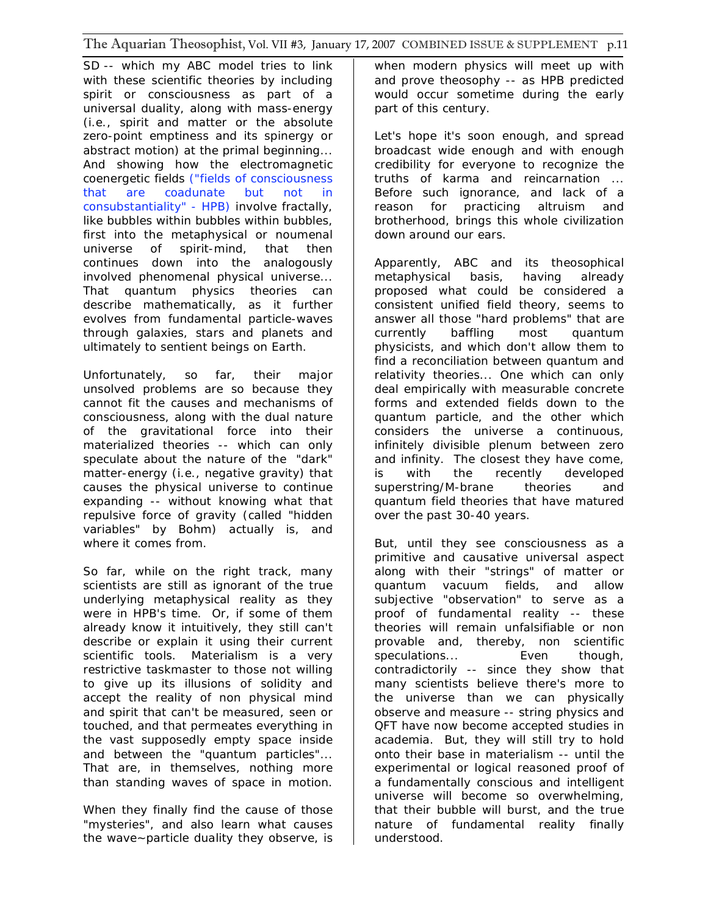SD -- which my ABC model tries to link with these scientific theories by including spirit or consciousness as part of a universal duality, along with mass-energy (i.e., spirit and matter or the absolute zero-point emptiness and its spinergy or abstract motion) at the primal beginning... And showing how the electromagnetic coenergetic fields *("fields of consciousness that are coadunate but not in consubstantiality" - HPB)* involve fractally, like bubbles within bubbles within bubbles, first into the metaphysical or noumenal universe of spirit-mind, that then continues down into the analogously involved phenomenal physical universe... That quantum physics theories can describe mathematically, as it further evolves from fundamental particle-waves through galaxies, stars and planets and ultimately to sentient beings on Earth.

Unfortunately, so far, their major unsolved problems are so because they cannot fit the causes and mechanisms of consciousness, along with the dual nature of the gravitational force into their materialized theories -- which can only speculate about the nature of the "dark" matter-energy (i.e., negative gravity) that causes the physical universe to continue expanding -- without knowing what that repulsive force of gravity (called "hidden variables" by Bohm) actually is, and where it comes from.

So far, while on the right track, many scientists are still as ignorant of the true underlying metaphysical reality as they were in HPB's time. Or, if some of them already know it intuitively, they still can't describe or explain it using their current scientific tools. Materialism is a very restrictive taskmaster to those not willing to give up its illusions of solidity and accept the reality of non physical mind and spirit that can't be measured, seen or touched, and that permeates everything in the vast supposedly empty space inside and between the "quantum particles"... That are, in themselves, nothing more than standing waves of space in motion.

When they finally find the cause of those "mysteries", and also learn what causes the wave~particle duality they observe, is when modern physics will meet up with and prove theosophy -- as HPB predicted would occur sometime during the early part of this century.

Let's hope it's soon enough, and spread broadcast wide enough and with enough credibility for everyone to recognize the truths of karma and reincarnation ... Before such ignorance, and lack of a reason for practicing altruism and brotherhood, brings this whole civilization down around our ears.

Apparently, ABC and its theosophical metaphysical basis, having already proposed what could be considered a consistent unified field theory, seems to answer all those "hard problems" that are currently baffling most quantum physicists, and which don't allow them to find a reconciliation between quantum and relativity theories... One which can only deal empirically with measurable concrete forms and extended fields down to the quantum particle, and the other which considers the universe a continuous, infinitely divisible plenum between zero and infinity. The closest they have come, is with the recently developed superstring/M-brane theories and quantum field theories that have matured over the past 30-40 years.

But, until they see consciousness as a primitive and causative universal aspect along with their "strings" of matter or quantum vacuum fields, and allow subjective "observation" to serve as a proof of fundamental reality -- these theories will remain unfalsifiable or non provable and, thereby, non scientific speculations... **Even** though, contradictorily -- since they show that many scientists believe there's more to the universe than we can physically observe and measure -- string physics and QFT have now become accepted studies in academia. But, they will still try to hold onto their base in materialism -- until the experimental or logical reasoned proof of a fundamentally conscious and intelligent universe will become so overwhelming, that their bubble will burst, and the true nature of fundamental reality finally understood.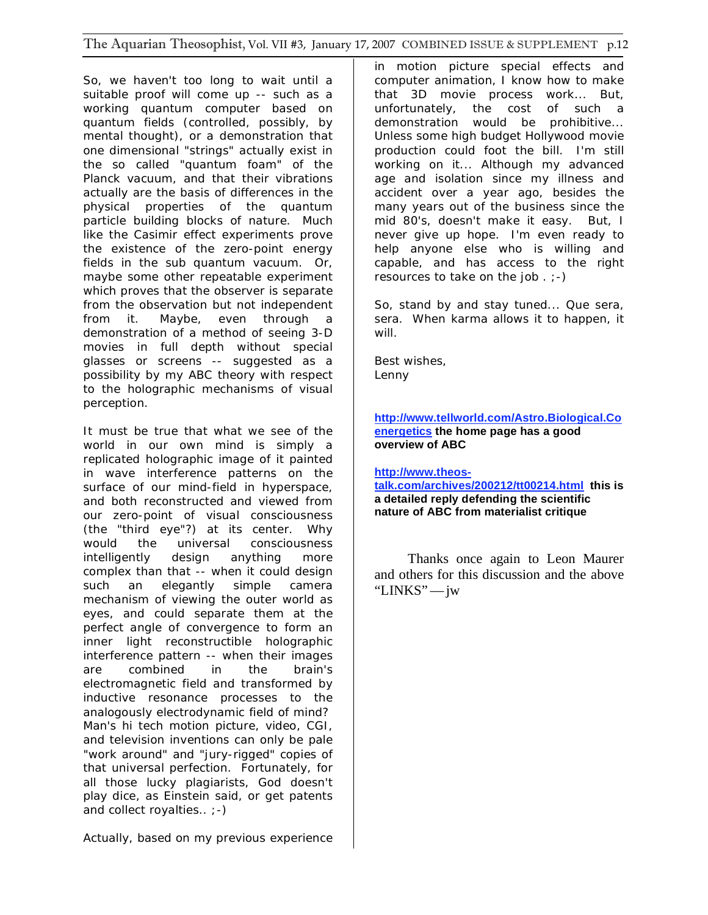So, we haven't too long to wait until a suitable proof will come up -- such as a working quantum computer based on quantum fields (controlled, possibly, by mental thought), or a demonstration that one dimensional "strings" actually exist in the so called "quantum foam" of the Planck vacuum, and that their vibrations actually are the basis of differences in the physical properties of the quantum particle building blocks of nature. Much like the Casimir effect experiments prove the existence of the zero-point energy fields in the sub quantum vacuum. Or, maybe some other repeatable experiment which proves that the observer is separate from the observation but not independent from it. Maybe, even through a demonstration of a method of seeing 3-D movies in full depth without special glasses or screens -- suggested as a possibility by my ABC theory with respect to the holographic mechanisms of visual perception.

It must be true that what we see of the world in our own mind is simply a replicated holographic image of it painted in wave interference patterns on the surface of our mind-field in hyperspace, and both reconstructed and viewed from our zero-point of visual consciousness (the "third eye"?) at its center. Why would the universal consciousness intelligently design anything more complex than that -- when it could design such an elegantly simple camera mechanism of viewing the outer world as eyes, and could separate them at the perfect angle of convergence to form an inner light reconstructible holographic interference pattern -- when their images are combined in the brain's electromagnetic field and transformed by inductive resonance processes to the analogously electrodynamic field of mind? Man's hi tech motion picture, video, CGI, and television inventions can only be pale "work around" and "jury-rigged" copies of that universal perfection. Fortunately, for all those lucky plagiarists, God doesn't play dice, as Einstein said, or get patents and collect royalties.. ;-)

Actually, based on my previous experience

in motion picture special effects and computer animation, I know how to make that 3D movie process work... But, unfortunately, the cost of such a demonstration would be prohibitive... Unless some high budget Hollywood movie production could foot the bill. I'm still working on it... Although my advanced age and isolation since my illness and accident over a year ago, besides the many years out of the business since the mid 80's, doesn't make it easy. But, I never give up hope. I'm even ready to help anyone else who is willing and capable, and has access to the right resources to take on the job  $\cdot$  ;-)

So, stand by and stay tuned... Que sera, sera. When karma allows it to happen, it will.

Best wishes, Lenny

**http://www.tellworld.com/Astro.Biological.Co energetics the home page has a good overview of ABC**

**http://www.theos-**

**talk.com/archives/200212/tt00214.html this is a detailed reply defending the scientific nature of ABC from materialist critique** 

Thanks once again to Leon Maurer and others for this discussion and the above "LINKS"—jw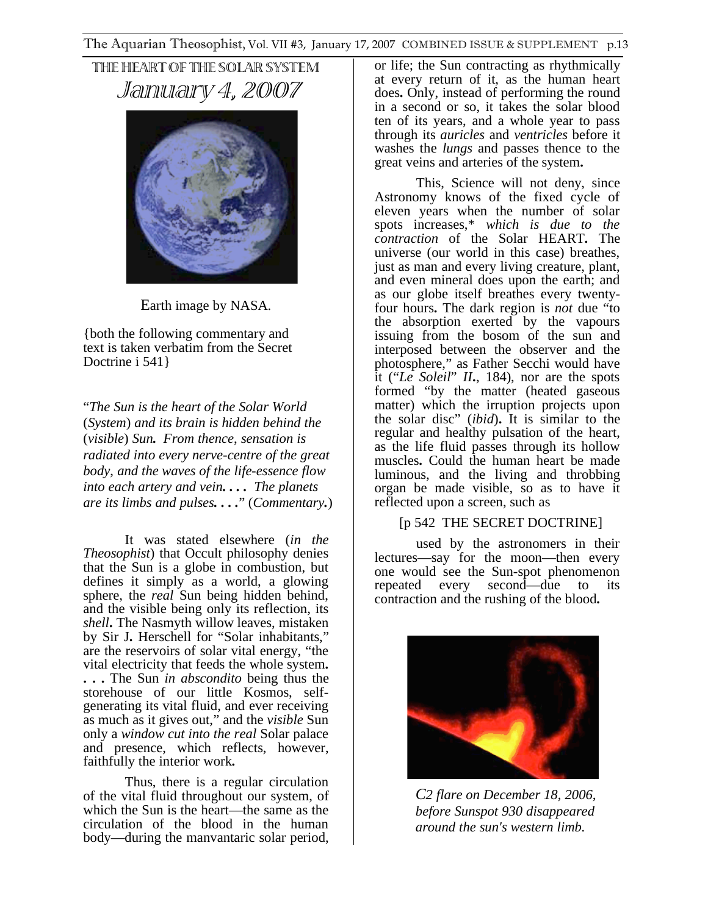THE HEART OF THE SOLAR SYSTEM January 4, 2007



Earth image by NASA.

{both the following commentary and text is taken verbatim from the Secret Doctrine i 541 }

"*The Sun is the heart of the Solar World*  (*System*) *and its brain is hidden behind the*  (*visible*) *Sun. From thence*, *sensation is radiated into every nerve-centre of the great body*, *and the waves of the life-essence flow into each artery and vein. . . . The planets are its limbs and pulses. . . .*" (*Commentary.*)

It was stated elsewhere (*in the Theosophist*) that Occult philosophy denies that the Sun is a globe in combustion, but defines it simply as a world, a glowing sphere, the *real* Sun being hidden behind, and the visible being only its reflection, its *shell***.** The Nasmyth willow leaves, mistaken by Sir J**.** Herschell for "Solar inhabitants," are the reservoirs of solar vital energy, "the vital electricity that feeds the whole system**. . . .** The Sun *in abscondito* being thus the storehouse of our little Kosmos, selfgenerating its vital fluid, and ever receiving as much as it gives out," and the *visible* Sun only a *window cut into the real* Solar palace and presence, which reflects, however, faithfully the interior work**.**

Thus, there is a regular circulation of the vital fluid throughout our system, of which the Sun is the heart—the same as the circulation of the blood in the human body—during the manvantaric solar period,

or life; the Sun contracting as rhythmically at every return of it, as the human heart does**.** Only, instead of performing the round in a second or so, it takes the solar blood ten of its years, and a whole year to pass through its *auricles* and *ventricles* before it washes the *lungs* and passes thence to the great veins and arteries of the system**.**

This, Science will not deny, since Astronomy knows of the fixed cycle of eleven years when the number of solar spots increases,\* *which is due to the contraction* of the Solar HEART**.** The universe (our world in this case) breathes, just as man and every living creature, plant, and even mineral does upon the earth; and as our globe itself breathes every twentyfour hours**.** The dark region is *not* due "to the absorption exerted by the vapours issuing from the bosom of the sun and interposed between the observer and the photosphere," as Father Secchi would have it ("*Le Soleil*" *II***.**, 184), nor are the spots formed "by the matter (heated gaseous matter) which the irruption projects upon the solar disc" (*ibid*)**.** It is similar to the regular and healthy pulsation of the heart, as the life fluid passes through its hollow muscles**.** Could the human heart be made luminous, and the living and throbbing organ be made visible, so as to have it reflected upon a screen, such as

### [p 542 THE SECRET DOCTRINE]

used by the astronomers in their lectures—say for the moon—then every one would see the Sun-spot phenomenon repeated every second—due to its contraction and the rushing of the blood**.** 



*C2 flare on December 18, 2006, before Sunspot 930 disappeared around the sun's western limb.*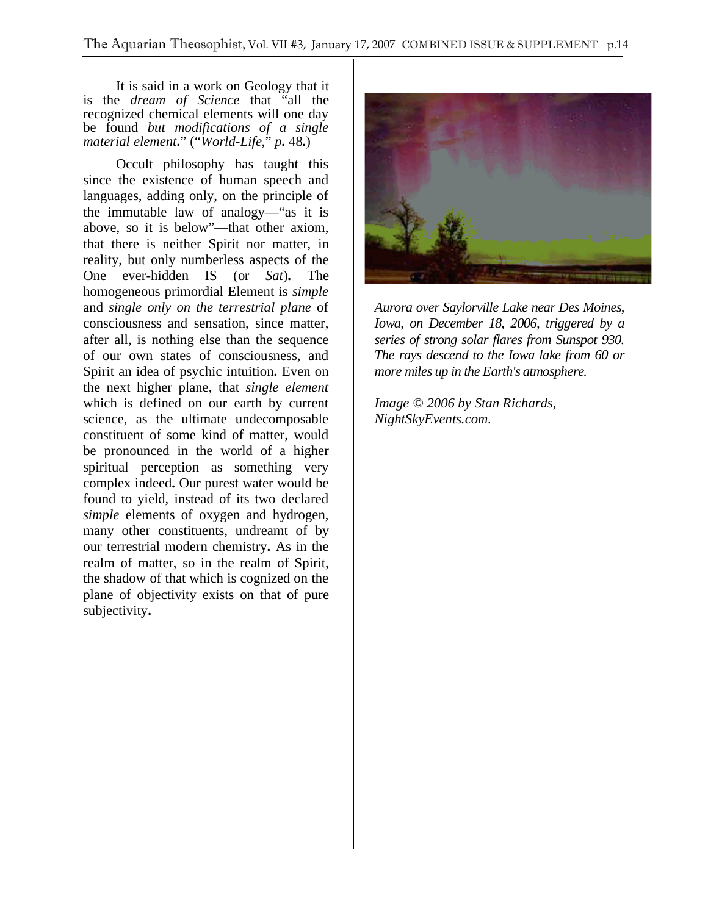It is said in a work on Geology that it is the *dream of Science* that "all the recognized chemical elements will one day be found *but modifications of a single material element***.**" ("*World-Life*," *p***.** 48**.**)

Occult philosophy has taught this since the existence of human speech and languages, adding only, on the principle of the immutable law of analogy—"as it is above, so it is below"—that other axiom, that there is neither Spirit nor matter, in reality, but only numberless aspects of the One ever-hidden IS (or *Sat*)**.** The homogeneous primordial Element is *simple* and *single only on the terrestrial plane* of consciousness and sensation, since matter, after all, is nothing else than the sequence of our own states of consciousness, and Spirit an idea of psychic intuition**.** Even on the next higher plane, that *single element* which is defined on our earth by current science, as the ultimate undecomposable constituent of some kind of matter, would be pronounced in the world of a higher spiritual perception as something very complex indeed**.** Our purest water would be found to yield, instead of its two declared *simple* elements of oxygen and hydrogen, many other constituents, undreamt of by our terrestrial modern chemistry**.** As in the realm of matter, so in the realm of Spirit, the shadow of that which is cognized on the plane of objectivity exists on that of pure subjectivity**.** 



*Aurora over Saylorville Lake near Des Moines, Iowa, on December 18, 2006, triggered by a series of strong solar flares from Sunspot 930. The rays descend to the Iowa lake from 60 or more miles up in the Earth's atmosphere.*

*Image © 2006 by Stan Richards, NightSkyEvents.com.*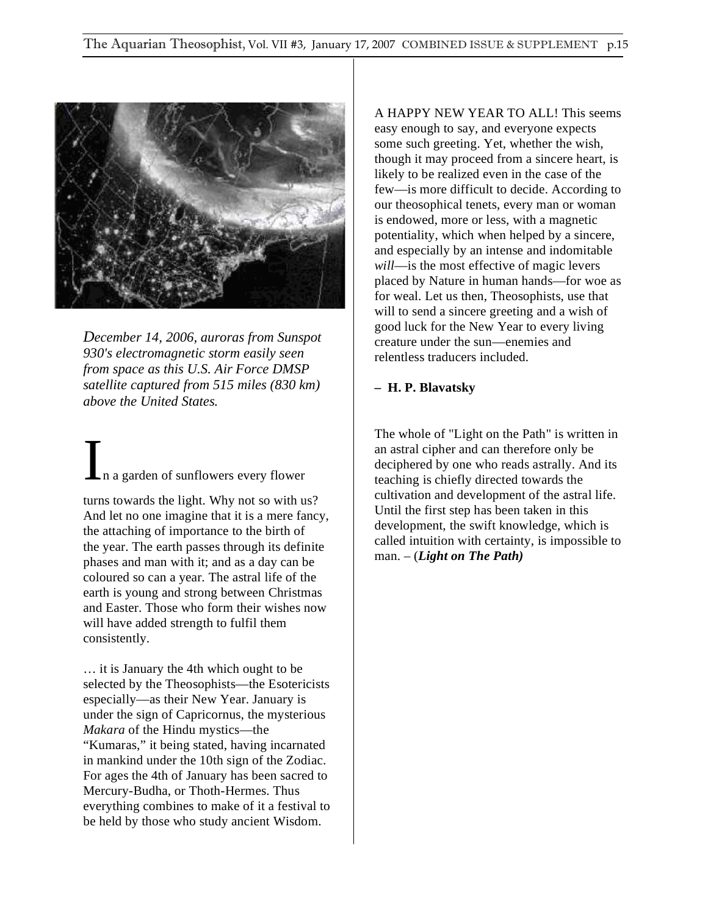

*December 14, 2006, auroras from Sunspot 930's electromagnetic storm easily seen from space as this U.S. Air Force DMSP satellite captured from 515 miles (830 km) above the United States.* 

# In a garden of sunflowers every flower.

turns towards the light. Why not so with us? And let no one imagine that it is a mere fancy, the attaching of importance to the birth of the year. The earth passes through its definite phases and man with it; and as a day can be coloured so can a year. The astral life of the earth is young and strong between Christmas and Easter. Those who form their wishes now will have added strength to fulfil them consistently.

… it is January the 4th which ought to be selected by the Theosophists—the Esotericists especially—as their New Year. January is under the sign of Capricornus, the mysterious *Makara* of the Hindu mystics—the "Kumaras," it being stated, having incarnated in mankind under the 10th sign of the Zodiac. For ages the 4th of January has been sacred to Mercury-Budha, or Thoth-Hermes. Thus everything combines to make of it a festival to be held by those who study ancient Wisdom.

A HAPPY NEW YEAR TO ALL! This seems easy enough to say, and everyone expects some such greeting. Yet, whether the wish, though it may proceed from a sincere heart, is likely to be realized even in the case of the few—is more difficult to decide. According to our theosophical tenets, every man or woman is endowed, more or less, with a magnetic potentiality, which when helped by a sincere, and especially by an intense and indomitable *will*—is the most effective of magic levers placed by Nature in human hands—for woe as for weal. Let us then, Theosophists, use that will to send a sincere greeting and a wish of good luck for the New Year to every living creature under the sun—enemies and relentless traducers included.

### **– H. P. Blavatsky**

The whole of "Light on the Path" is written in an astral cipher and can therefore only be deciphered by one who reads astrally. And its teaching is chiefly directed towards the cultivation and development of the astral life. Until the first step has been taken in this development, the swift knowledge, which is called intuition with certainty, is impossible to man. – (*Light on The Path)*